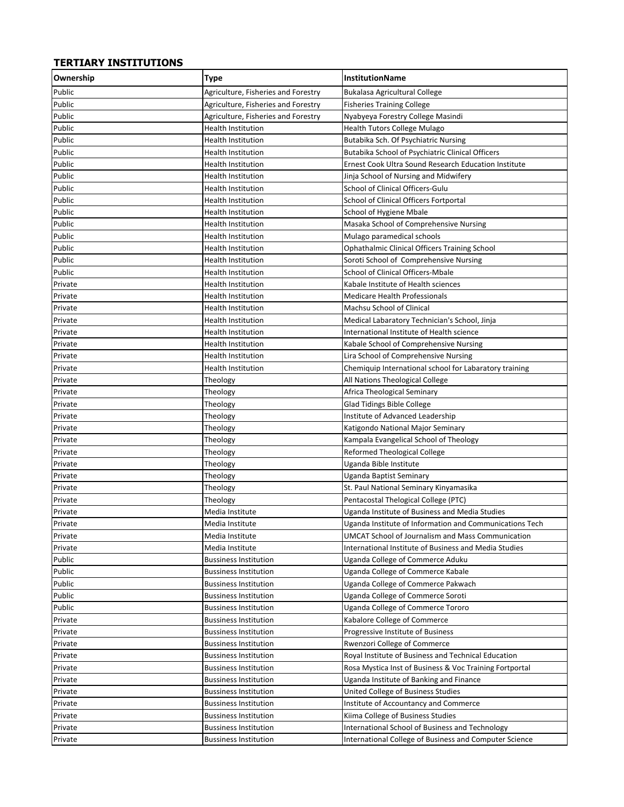## **TERTIARY INSTITUTIONS**

| Ownership | <b>Type</b>                         | <b>InstitutionName</b>                                   |
|-----------|-------------------------------------|----------------------------------------------------------|
| Public    | Agriculture, Fisheries and Forestry | Bukalasa Agricultural College                            |
| Public    | Agriculture, Fisheries and Forestry | <b>Fisheries Training College</b>                        |
| Public    | Agriculture, Fisheries and Forestry | Nyabyeya Forestry College Masindi                        |
| Public    | Health Institution                  | Health Tutors College Mulago                             |
| Public    | Health Institution                  | Butabika Sch. Of Psychiatric Nursing                     |
| Public    | <b>Health Institution</b>           | Butabika School of Psychiatric Clinical Officers         |
| Public    | <b>Health Institution</b>           | Ernest Cook Ultra Sound Research Education Institute     |
| Public    | <b>Health Institution</b>           | Jinja School of Nursing and Midwifery                    |
| Public    | <b>Health Institution</b>           | School of Clinical Officers-Gulu                         |
| Public    | Health Institution                  | School of Clinical Officers Fortportal                   |
| Public    | Health Institution                  | School of Hygiene Mbale                                  |
| Public    | Health Institution                  | Masaka School of Comprehensive Nursing                   |
| Public    | Health Institution                  | Mulago paramedical schools                               |
| Public    | Health Institution                  | Ophathalmic Clinical Officers Training School            |
| Public    | Health Institution                  | Soroti School of Comprehensive Nursing                   |
| Public    | Health Institution                  | School of Clinical Officers-Mbale                        |
| Private   | Health Institution                  | Kabale Institute of Health sciences                      |
| Private   | Health Institution                  | Medicare Health Professionals                            |
| Private   | Health Institution                  | Machsu School of Clinical                                |
| Private   | <b>Health Institution</b>           | Medical Labaratory Technician's School, Jinja            |
| Private   | Health Institution                  | International Institute of Health science                |
| Private   | Health Institution                  | Kabale School of Comprehensive Nursing                   |
| Private   | Health Institution                  | Lira School of Comprehensive Nursing                     |
| Private   | Health Institution                  | Chemiquip International school for Labaratory training   |
| Private   | Theology                            | All Nations Theological College                          |
| Private   | Theology                            | Africa Theological Seminary                              |
| Private   | Theology                            | Glad Tidings Bible College                               |
| Private   | Theology                            | Institute of Advanced Leadership                         |
| Private   | Theology                            | Katigondo National Major Seminary                        |
| Private   | Theology                            | Kampala Evangelical School of Theology                   |
| Private   | Theology                            | <b>Reformed Theological College</b>                      |
| Private   | Theology                            | Uganda Bible Institute                                   |
| Private   | Theology                            | Uganda Baptist Seminary                                  |
| Private   | Theology                            | St. Paul National Seminary Kinyamasika                   |
| Private   | Theology                            | Pentacostal Thelogical College (PTC)                     |
| Private   | Media Institute                     | Uganda Institute of Business and Media Studies           |
| Private   | Media Institute                     | Uganda Institute of Information and Communications Tech  |
| Private   | Media Institute                     | <b>UMCAT School of Journalism and Mass Communication</b> |
| Private   | Media Institute                     | International Institute of Business and Media Studies    |
| Public    | <b>Bussiness Institution</b>        | Uganda College of Commerce Aduku                         |
| Public    | <b>Bussiness Institution</b>        | Uganda College of Commerce Kabale                        |
| Public    | <b>Bussiness Institution</b>        | Uganda College of Commerce Pakwach                       |
| Public    | <b>Bussiness Institution</b>        | Uganda College of Commerce Soroti                        |
| Public    | <b>Bussiness Institution</b>        | Uganda College of Commerce Tororo                        |
| Private   | <b>Bussiness Institution</b>        | Kabalore College of Commerce                             |
| Private   | <b>Bussiness Institution</b>        | Progressive Institute of Business                        |
| Private   | <b>Bussiness Institution</b>        | Rwenzori College of Commerce                             |
| Private   | <b>Bussiness Institution</b>        | Royal Institute of Business and Technical Education      |
| Private   | <b>Bussiness Institution</b>        | Rosa Mystica Inst of Business & Voc Training Fortportal  |
| Private   | <b>Bussiness Institution</b>        | Uganda Institute of Banking and Finance                  |
| Private   | <b>Bussiness Institution</b>        | United College of Business Studies                       |
| Private   | <b>Bussiness Institution</b>        | Institute of Accountancy and Commerce                    |
| Private   | <b>Bussiness Institution</b>        | Kiima College of Business Studies                        |
| Private   | <b>Bussiness Institution</b>        | International School of Business and Technology          |
| Private   | <b>Bussiness Institution</b>        | International College of Business and Computer Science   |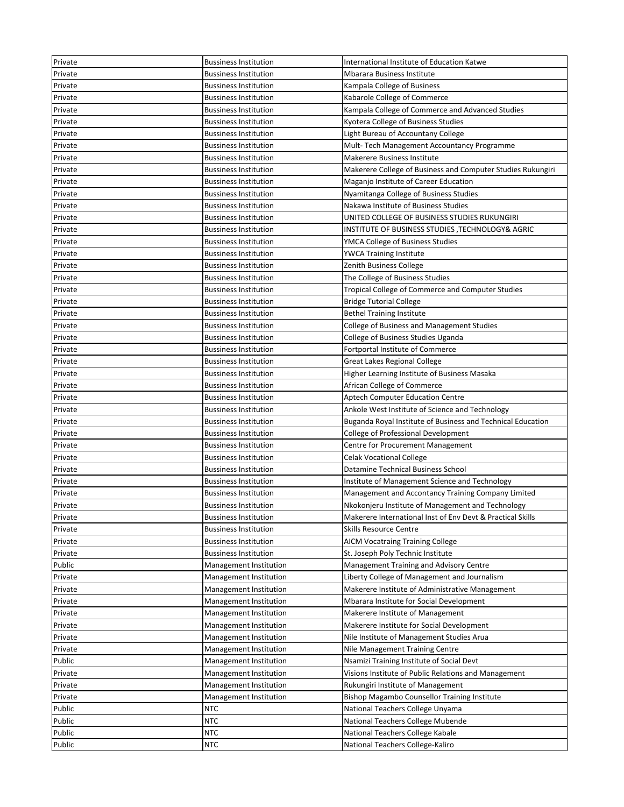| Private | <b>Bussiness Institution</b> | International Institute of Education Katwe                                                           |
|---------|------------------------------|------------------------------------------------------------------------------------------------------|
| Private | Bussiness Institution        | Mbarara Business Institute                                                                           |
| Private | Bussiness Institution        | Kampala College of Business                                                                          |
| Private | Bussiness Institution        | Kabarole College of Commerce                                                                         |
| Private | Bussiness Institution        | Kampala College of Commerce and Advanced Studies                                                     |
| Private | Bussiness Institution        | Kyotera College of Business Studies                                                                  |
| Private | Bussiness Institution        | Light Bureau of Accountany College                                                                   |
| Private | Bussiness Institution        | Mult-Tech Management Accountancy Programme                                                           |
| Private | Bussiness Institution        | Makerere Business Institute                                                                          |
| Private | Bussiness Institution        | Makerere College of Business and Computer Studies Rukungiri                                          |
| Private | <b>Bussiness Institution</b> | Maganjo Institute of Career Education                                                                |
| Private | <b>Bussiness Institution</b> | Nyamitanga College of Business Studies                                                               |
| Private | <b>Bussiness Institution</b> | Nakawa Institute of Business Studies                                                                 |
| Private | <b>Bussiness Institution</b> | UNITED COLLEGE OF BUSINESS STUDIES RUKUNGIRI                                                         |
| Private | <b>Bussiness Institution</b> | INSTITUTE OF BUSINESS STUDIES, TECHNOLOGY& AGRIC                                                     |
| Private | <b>Bussiness Institution</b> | YMCA College of Business Studies                                                                     |
| Private | <b>Bussiness Institution</b> | YWCA Training Institute                                                                              |
| Private | <b>Bussiness Institution</b> | Zenith Business College                                                                              |
| Private | <b>Bussiness Institution</b> | The College of Business Studies                                                                      |
| Private | <b>Bussiness Institution</b> | Tropical College of Commerce and Computer Studies                                                    |
| Private | <b>Bussiness Institution</b> | <b>Bridge Tutorial College</b>                                                                       |
| Private | <b>Bussiness Institution</b> | <b>Bethel Training Institute</b>                                                                     |
| Private | Bussiness Institution        | College of Business and Management Studies                                                           |
| Private | Bussiness Institution        | College of Business Studies Uganda                                                                   |
| Private | <b>Bussiness Institution</b> | Fortportal Institute of Commerce                                                                     |
| Private | Bussiness Institution        | Great Lakes Regional College                                                                         |
| Private | Bussiness Institution        | Higher Learning Institute of Business Masaka                                                         |
| Private | Bussiness Institution        | African College of Commerce                                                                          |
| Private | Bussiness Institution        | Aptech Computer Education Centre                                                                     |
|         |                              |                                                                                                      |
| Private | Bussiness Institution        | Ankole West Institute of Science and Technology                                                      |
| Private | Bussiness Institution        | Buganda Royal Institute of Business and Technical Education                                          |
| Private | <b>Bussiness Institution</b> | College of Professional Development                                                                  |
| Private | <b>Bussiness Institution</b> | Centre for Procurement Management                                                                    |
| Private | Bussiness Institution        | <b>Celak Vocational College</b>                                                                      |
| Private | Bussiness Institution        | Datamine Technical Business School                                                                   |
| Private | Bussiness Institution        |                                                                                                      |
| Private | Bussiness Institution        | Institute of Management Science and Technology<br>Management and Accontancy Training Company Limited |
| Private | <b>Bussiness Institution</b> | Nkokonjeru Institute of Management and Technology                                                    |
| Private | <b>Bussiness Institution</b> | Makerere International Inst of Env Devt & Practical Skills                                           |
| Private | <b>Bussiness Institution</b> | Skills Resource Centre                                                                               |
| Private | <b>Bussiness Institution</b> |                                                                                                      |
| Private | <b>Bussiness Institution</b> | <b>AICM Vocatraing Training College</b><br>St. Joseph Poly Technic Institute                         |
| Public  | Management Institution       | Management Training and Advisory Centre                                                              |
| Private | Management Institution       | Liberty College of Management and Journalism                                                         |
| Private | Management Institution       | Makerere Institute of Administrative Management                                                      |
| Private | Management Institution       | Mbarara Institute for Social Development                                                             |
| Private | Management Institution       | Makerere Institute of Management                                                                     |
| Private | Management Institution       | Makerere Institute for Social Development                                                            |
| Private | Management Institution       | Nile Institute of Management Studies Arua                                                            |
| Private | Management Institution       | Nile Management Training Centre                                                                      |
| Public  | Management Institution       | Nsamizi Training Institute of Social Devt                                                            |
| Private | Management Institution       | Visions Institute of Public Relations and Management                                                 |
| Private | Management Institution       | Rukungiri Institute of Management                                                                    |
| Private | Management Institution       | Bishop Magambo Counsellor Training Institute                                                         |
| Public  | NTC                          | National Teachers College Unyama                                                                     |
| Public  | NTC                          | National Teachers College Mubende                                                                    |
| Public  | <b>NTC</b>                   | National Teachers College Kabale                                                                     |